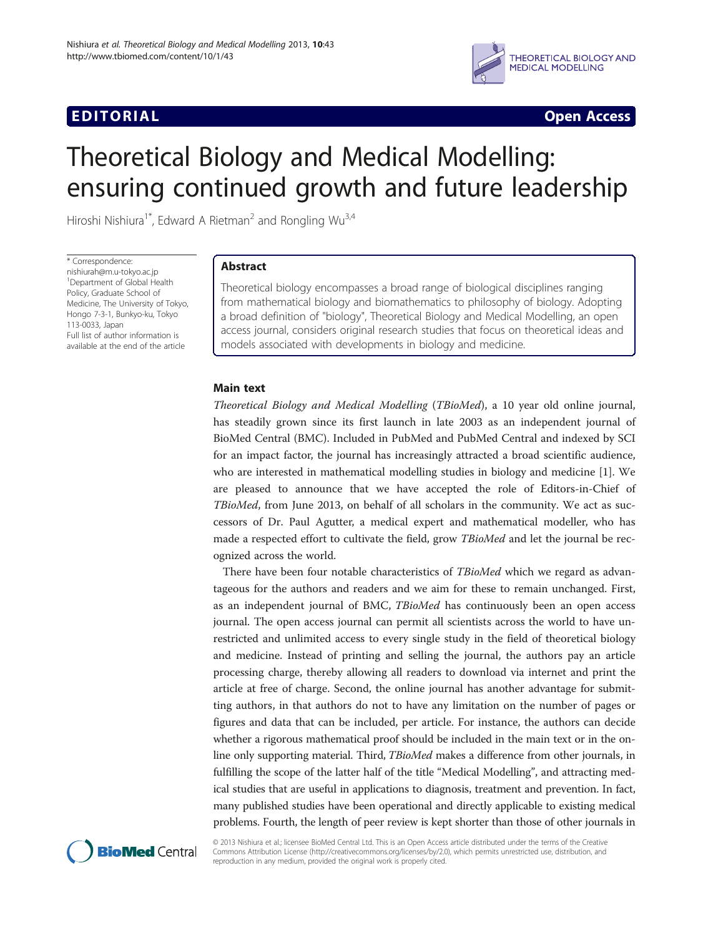## **EDITORIAL** CONTROL CONTROL CONTROL CONTROL CONTROL CONTROL CONTROL CONTROL CONTROL CONTROL CONTROL CONTROL CONTROL CONTROL CONTROL CONTROL CONTROL CONTROL CONTROL CONTROL CONTROL CONTROL CONTROL CONTROL CONTROL CONTROL CO



# Theoretical Biology and Medical Modelling: ensuring continued growth and future leadership

Hiroshi Nishiura<sup>1\*</sup>, Edward A Rietman<sup>2</sup> and Rongling Wu<sup>3,4</sup>

\* Correspondence: nishiurah@m.u-tokyo.ac.jp <sup>1</sup> Department of Global Health Policy, Graduate School of Medicine, The University of Tokyo, Hongo 7-3-1, Bunkyo-ku, Tokyo 113-0033, Japan Full list of author information is available at the end of the article

## Abstract

Theoretical biology encompasses a broad range of biological disciplines ranging from mathematical biology and biomathematics to philosophy of biology. Adopting a broad definition of "biology", Theoretical Biology and Medical Modelling, an open access journal, considers original research studies that focus on theoretical ideas and models associated with developments in biology and medicine.

### Main text

Theoretical Biology and Medical Modelling (TBioMed), a 10 year old online journal, has steadily grown since its first launch in late 2003 as an independent journal of BioMed Central (BMC). Included in PubMed and PubMed Central and indexed by SCI for an impact factor, the journal has increasingly attracted a broad scientific audience, who are interested in mathematical modelling studies in biology and medicine [[1\]](#page-2-0). We are pleased to announce that we have accepted the role of Editors-in-Chief of TBioMed, from June 2013, on behalf of all scholars in the community. We act as successors of Dr. Paul Agutter, a medical expert and mathematical modeller, who has made a respected effort to cultivate the field, grow *TBioMed* and let the journal be recognized across the world.

There have been four notable characteristics of TBioMed which we regard as advantageous for the authors and readers and we aim for these to remain unchanged. First, as an independent journal of BMC, TBioMed has continuously been an open access journal. The open access journal can permit all scientists across the world to have unrestricted and unlimited access to every single study in the field of theoretical biology and medicine. Instead of printing and selling the journal, the authors pay an article processing charge, thereby allowing all readers to download via internet and print the article at free of charge. Second, the online journal has another advantage for submitting authors, in that authors do not to have any limitation on the number of pages or figures and data that can be included, per article. For instance, the authors can decide whether a rigorous mathematical proof should be included in the main text or in the online only supporting material. Third, TBioMed makes a difference from other journals, in fulfilling the scope of the latter half of the title "Medical Modelling", and attracting medical studies that are useful in applications to diagnosis, treatment and prevention. In fact, many published studies have been operational and directly applicable to existing medical problems. Fourth, the length of peer review is kept shorter than those of other journals in



© 2013 Nishiura et al.; licensee BioMed Central Ltd. This is an Open Access article distributed under the terms of the Creative Commons Attribution License [\(http://creativecommons.org/licenses/by/2.0\)](http://creativecommons.org/licenses/by/2.0), which permits unrestricted use, distribution, and reproduction in any medium, provided the original work is properly cited.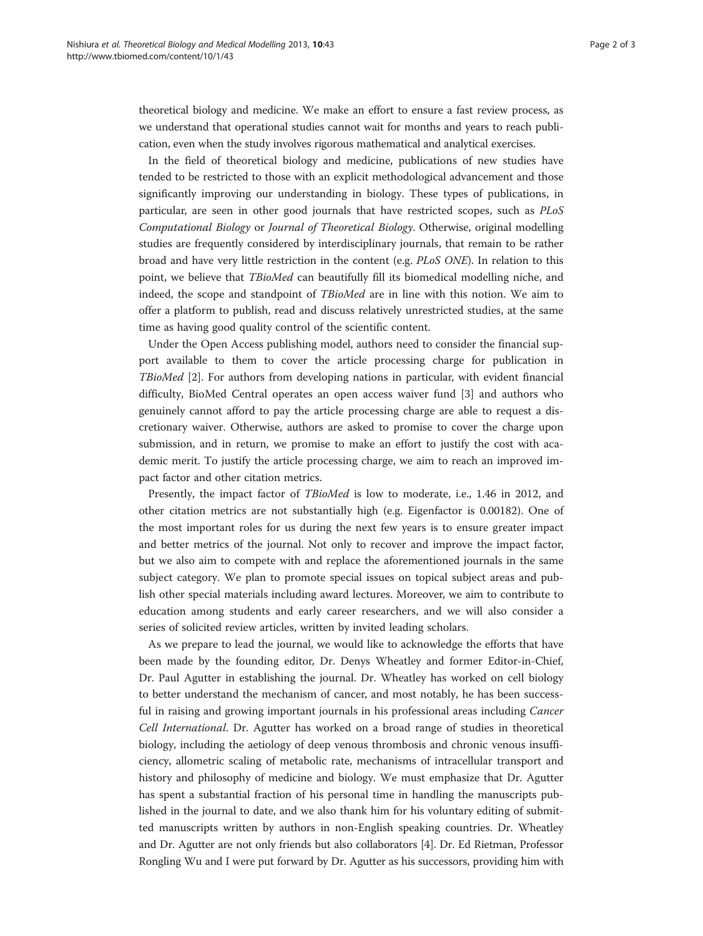theoretical biology and medicine. We make an effort to ensure a fast review process, as we understand that operational studies cannot wait for months and years to reach publication, even when the study involves rigorous mathematical and analytical exercises.

In the field of theoretical biology and medicine, publications of new studies have tended to be restricted to those with an explicit methodological advancement and those significantly improving our understanding in biology. These types of publications, in particular, are seen in other good journals that have restricted scopes, such as PLoS Computational Biology or Journal of Theoretical Biology. Otherwise, original modelling studies are frequently considered by interdisciplinary journals, that remain to be rather broad and have very little restriction in the content (e.g. PLoS ONE). In relation to this point, we believe that *TBioMed* can beautifully fill its biomedical modelling niche, and indeed, the scope and standpoint of TBioMed are in line with this notion. We aim to offer a platform to publish, read and discuss relatively unrestricted studies, at the same time as having good quality control of the scientific content.

Under the Open Access publishing model, authors need to consider the financial support available to them to cover the article processing charge for publication in TBioMed [\[2](#page-2-0)]. For authors from developing nations in particular, with evident financial difficulty, BioMed Central operates an open access waiver fund [[3\]](#page-2-0) and authors who genuinely cannot afford to pay the article processing charge are able to request a discretionary waiver. Otherwise, authors are asked to promise to cover the charge upon submission, and in return, we promise to make an effort to justify the cost with academic merit. To justify the article processing charge, we aim to reach an improved impact factor and other citation metrics.

Presently, the impact factor of TBioMed is low to moderate, i.e., 1.46 in 2012, and other citation metrics are not substantially high (e.g. Eigenfactor is 0.00182). One of the most important roles for us during the next few years is to ensure greater impact and better metrics of the journal. Not only to recover and improve the impact factor, but we also aim to compete with and replace the aforementioned journals in the same subject category. We plan to promote special issues on topical subject areas and publish other special materials including award lectures. Moreover, we aim to contribute to education among students and early career researchers, and we will also consider a series of solicited review articles, written by invited leading scholars.

As we prepare to lead the journal, we would like to acknowledge the efforts that have been made by the founding editor, Dr. Denys Wheatley and former Editor-in-Chief, Dr. Paul Agutter in establishing the journal. Dr. Wheatley has worked on cell biology to better understand the mechanism of cancer, and most notably, he has been successful in raising and growing important journals in his professional areas including *Cancer* Cell International. Dr. Agutter has worked on a broad range of studies in theoretical biology, including the aetiology of deep venous thrombosis and chronic venous insufficiency, allometric scaling of metabolic rate, mechanisms of intracellular transport and history and philosophy of medicine and biology. We must emphasize that Dr. Agutter has spent a substantial fraction of his personal time in handling the manuscripts published in the journal to date, and we also thank him for his voluntary editing of submitted manuscripts written by authors in non-English speaking countries. Dr. Wheatley and Dr. Agutter are not only friends but also collaborators [[4](#page-2-0)]. Dr. Ed Rietman, Professor Rongling Wu and I were put forward by Dr. Agutter as his successors, providing him with